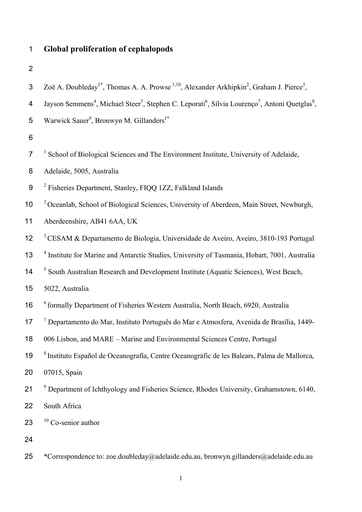# **Global proliferation of cephalopods**

# 

- 3 Zoë A. Doubleday<sup>1\*</sup>, Thomas A. A. Prowse<sup>1,10</sup>, Alexander Arkhipkin<sup>2</sup>, Graham J. Pierce<sup>3</sup>, 4 Jayson Semmens<sup>4</sup>, Michael Steer<sup>5</sup>, Stephen C. Leporati<sup>6</sup>, Sílvia Lourenço<sup>7</sup>, Antoni Quetglas<sup>8</sup>, 5 Warwick Sauer<sup>9</sup>, Bronwyn M. Gillanders<sup>1\*</sup>  $10^{-1}$  School of Biological Sciences and The Environment Institute, University of Adelaide, Adelaide, 5005, Australia <sup>2</sup> Fisheries Department, Stanley, FIQQ 1ZZ, Falkland Islands <sup>3</sup> Oceanlab, School of Biological Sciences, University of Aberdeen, Main Street, Newburgh, Aberdeenshire, AB41 6AA, UK <sup>3</sup>CESAM & Departamento de Biologia, Universidade de Aveiro, Aveiro, 3810-193 Portugal <sup>4</sup> Institute for Marine and Antarctic Studies, University of Tasmania, Hobart, 7001, Australia <sup>5</sup> South Australian Research and Development Institute (Aquatic Sciences), West Beach, 5022, Australia <sup>6</sup>formally Department of Fisheries Western Australia, North Beach, 6920, Australia <sup>7</sup> Departamento do Mar, Instituto Português do Mar e Atmosfera, Avenida de Brasília, 1449- 006 Lisbon, and MARE – Marine and Environmental Sciences Centre, Portugal <sup>8</sup>Instituto Español de Oceanografía, Centre Oceanogràfic de les Balears, Palma de Mallorca, 07015, Spain 21 <sup>9</sup> Department of Ichthyology and Fisheries Science, Rhodes University, Grahamstown, 6140, 22 South Africa 23  $^{10}$  Co-senior author
- \*Correspondence to: zoe.doubleday@adelaide.edu.au, bronwyn.gillanders@adelaide.edu.au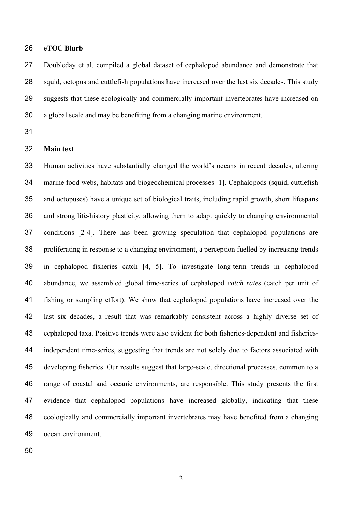### **eTOC Blurb**

Doubleday et al. compiled a global dataset of cephalopod abundance and demonstrate that squid, octopus and cuttlefish populations have increased over the last six decades. This study suggests that these ecologically and commercially important invertebrates have increased on a global scale and may be benefiting from a changing marine environment.

#### **Main text**

Human activities have substantially changed the world's oceans in recent decades, altering marine food webs, habitats and biogeochemical processes [1]. Cephalopods (squid, cuttlefish and octopuses) have a unique set of biological traits, including rapid growth, short lifespans and strong life-history plasticity, allowing them to adapt quickly to changing environmental conditions [2-4]. There has been growing speculation that cephalopod populations are proliferating in response to a changing environment, a perception fuelled by increasing trends in cephalopod fisheries catch [4, 5]. To investigate long-term trends in cephalopod abundance, we assembled global time-series of cephalopod *catch rates* (catch per unit of fishing or sampling effort). We show that cephalopod populations have increased over the last six decades, a result that was remarkably consistent across a highly diverse set of cephalopod taxa. Positive trends were also evident for both fisheries-dependent and fisheries-independent time-series, suggesting that trends are not solely due to factors associated with developing fisheries. Our results suggest that large-scale, directional processes, common to a range of coastal and oceanic environments, are responsible. This study presents the first evidence that cephalopod populations have increased globally, indicating that these ecologically and commercially important invertebrates may have benefited from a changing ocean environment.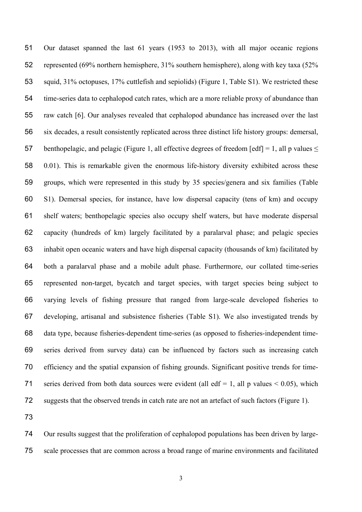Our dataset spanned the last 61 years (1953 to 2013), with all major oceanic regions represented (69% northern hemisphere, 31% southern hemisphere), along with key taxa (52% squid, 31% octopuses, 17% cuttlefish and sepiolids) (Figure 1, Table S1). We restricted these time-series data to cephalopod catch rates, which are a more reliable proxy of abundance than raw catch [6]. Our analyses revealed that cephalopod abundance has increased over the last six decades, a result consistently replicated across three distinct life history groups: demersal, 57 benthopelagic, and pelagic (Figure 1, all effective degrees of freedom [edf] = 1, all p values  $\leq$ 0.01). This is remarkable given the enormous life-history diversity exhibited across these groups, which were represented in this study by 35 species/genera and six families (Table S1). Demersal species, for instance, have low dispersal capacity (tens of km) and occupy shelf waters; benthopelagic species also occupy shelf waters, but have moderate dispersal capacity (hundreds of km) largely facilitated by a paralarval phase; and pelagic species inhabit open oceanic waters and have high dispersal capacity (thousands of km) facilitated by both a paralarval phase and a mobile adult phase. Furthermore, our collated time-series represented non-target, bycatch and target species, with target species being subject to varying levels of fishing pressure that ranged from large-scale developed fisheries to developing, artisanal and subsistence fisheries (Table S1). We also investigated trends by data type, because fisheries-dependent time-series (as opposed to fisheries-independent time-series derived from survey data) can be influenced by factors such as increasing catch efficiency and the spatial expansion of fishing grounds. Significant positive trends for time-71 series derived from both data sources were evident (all edf = 1, all p values  $< 0.05$ ), which suggests that the observed trends in catch rate are not an artefact of such factors (Figure 1).

Our results suggest that the proliferation of cephalopod populations has been driven by large-scale processes that are common across a broad range of marine environments and facilitated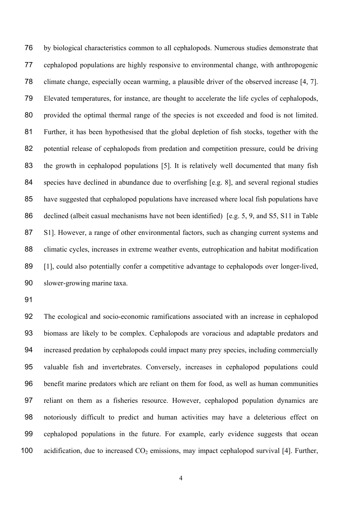by biological characteristics common to all cephalopods. Numerous studies demonstrate that cephalopod populations are highly responsive to environmental change, with anthropogenic climate change, especially ocean warming, a plausible driver of the observed increase [4, 7]. Elevated temperatures, for instance, are thought to accelerate the life cycles of cephalopods, provided the optimal thermal range of the species is not exceeded and food is not limited. Further, it has been hypothesised that the global depletion of fish stocks, together with the potential release of cephalopods from predation and competition pressure, could be driving the growth in cephalopod populations [5]. It is relatively well documented that many fish species have declined in abundance due to overfishing [e.g. 8], and several regional studies have suggested that cephalopod populations have increased where local fish populations have declined (albeit casual mechanisms have not been identified) [e.g. 5, 9, and S5, S11 in Table S1]. However, a range of other environmental factors, such as changing current systems and climatic cycles, increases in extreme weather events, eutrophication and habitat modification 89 [1], could also potentially confer a competitive advantage to cephalopods over longer-lived, slower-growing marine taxa.

The ecological and socio-economic ramifications associated with an increase in cephalopod biomass are likely to be complex. Cephalopods are voracious and adaptable predators and increased predation by cephalopods could impact many prey species, including commercially valuable fish and invertebrates. Conversely, increases in cephalopod populations could benefit marine predators which are reliant on them for food, as well as human communities reliant on them as a fisheries resource. However, cephalopod population dynamics are notoriously difficult to predict and human activities may have a deleterious effect on cephalopod populations in the future. For example, early evidence suggests that ocean 100 acidification, due to increased  $CO<sub>2</sub>$  emissions, may impact cephalopod survival [4]. Further,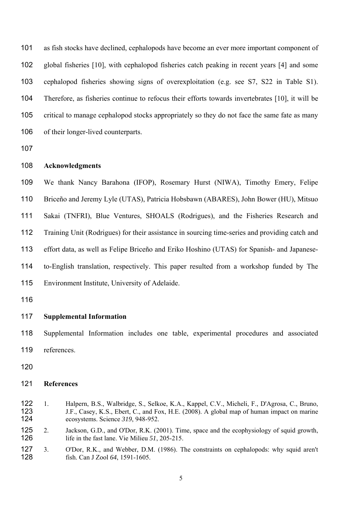as fish stocks have declined, cephalopods have become an ever more important component of global fisheries [10], with cephalopod fisheries catch peaking in recent years [4] and some cephalopod fisheries showing signs of overexploitation (e.g. see S7, S22 in Table S1). Therefore, as fisheries continue to refocus their efforts towards invertebrates [10], it will be critical to manage cephalopod stocks appropriately so they do not face the same fate as many of their longer-lived counterparts.

### **Acknowledgments**

We thank Nancy Barahona (IFOP), Rosemary Hurst (NIWA), Timothy Emery, Felipe Briceño and Jeremy Lyle (UTAS), Patricia Hobsbawn (ABARES), John Bower (HU), Mitsuo Sakai (TNFRI), Blue Ventures, SHOALS (Rodrigues), and the Fisheries Research and Training Unit (Rodrigues) for their assistance in sourcing time-series and providing catch and effort data, as well as Felipe Briceño and Eriko Hoshino (UTAS) for Spanish- and Japanese-to-English translation, respectively. This paper resulted from a workshop funded by The Environment Institute, University of Adelaide.

## **Supplemental Information**

Supplemental Information includes one table, experimental procedures and associated

references.

## **References**

- 1. Halpern, B.S., Walbridge, S., Selkoe, K.A., Kappel, C.V., Micheli, F., D'Agrosa, C., Bruno, 123 J.F., Casey, K.S., Ebert, C., and Fox, H.E. (2008). A global map of human impact on marine ecosystems. Science 319, 948-952. ecosystems. Science *319*, 948-952.
- 2. Jackson, G.D., and O'Dor, R.K. (2001). Time, space and the ecophysiology of squid growth, life in the fast lane. Vie Milieu *51*, 205-215.
- 3. O'Dor, R.K., and Webber, D.M. (1986). The constraints on cephalopods: why squid aren't fish. Can J Zool *64*, 1591-1605.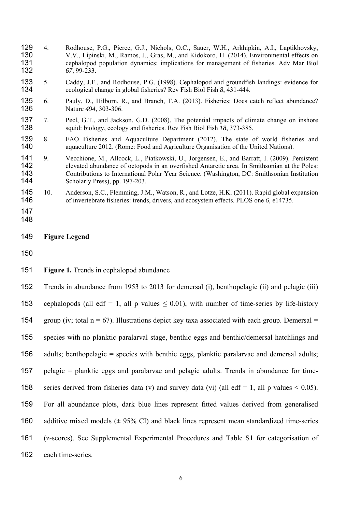| 129<br>130<br>131<br>132 | 4.  | Rodhouse, P.G., Pierce, G.J., Nichols, O.C., Sauer, W.H., Arkhipkin, A.I., Laptikhovsky,<br>V.V., Lipinski, M., Ramos, J., Gras, M., and Kidokoro, H. (2014). Environmental effects on<br>cephalopod population dynamics: implications for management of fisheries. Adv Mar Biol<br>67, 99-233.                                |
|--------------------------|-----|--------------------------------------------------------------------------------------------------------------------------------------------------------------------------------------------------------------------------------------------------------------------------------------------------------------------------------|
| 133<br>134               | 5.  | Caddy, J.F., and Rodhouse, P.G. (1998). Cephalopod and groundfish landings: evidence for<br>ecological change in global fisheries? Rev Fish Biol Fish 8, 431-444.                                                                                                                                                              |
| 135<br>136               | 6.  | Pauly, D., Hilborn, R., and Branch, T.A. (2013). Fisheries: Does catch reflect abundance?<br>Nature 494, 303-306.                                                                                                                                                                                                              |
| 137<br>138               | 7.  | Pecl, G.T., and Jackson, G.D. (2008). The potential impacts of climate change on inshore<br>squid: biology, ecology and fisheries. Rev Fish Biol Fish 18, 373-385.                                                                                                                                                             |
| 139<br>140               | 8.  | FAO Fisheries and Aquaculture Department (2012). The state of world fisheries and<br>aquaculture 2012. (Rome: Food and Agriculture Organisation of the United Nations).                                                                                                                                                        |
| 141<br>142<br>143<br>144 | 9.  | Vecchione, M., Allcock, L., Piatkowski, U., Jorgensen, E., and Barratt, I. (2009). Persistent<br>elevated abundance of octopods in an overfished Antarctic area. In Smithsonian at the Poles:<br>Contributions to International Polar Year Science. (Washington, DC: Smithsonian Institution<br>Scholarly Press), pp. 197-203. |
| 145<br>146               | 10. | Anderson, S.C., Flemming, J.M., Watson, R., and Lotze, H.K. (2011). Rapid global expansion<br>of invertebrate fisheries: trends, drivers, and ecosystem effects. PLOS one 6, e14735.                                                                                                                                           |
| 147<br>148               |     |                                                                                                                                                                                                                                                                                                                                |
| 149                      |     | <b>Figure Legend</b>                                                                                                                                                                                                                                                                                                           |
| 150                      |     |                                                                                                                                                                                                                                                                                                                                |
| 151                      |     | <b>Figure 1.</b> Trends in cephalopod abundance                                                                                                                                                                                                                                                                                |

Trends in abundance from 1953 to 2013 for demersal (i), benthopelagic (ii) and pelagic (iii) 153 cephalopods (all edf = 1, all p values  $\leq$  0.01), with number of time-series by life-history 154 group (iv; total  $n = 67$ ). Illustrations depict key taxa associated with each group. Demersal = species with no planktic paralarval stage, benthic eggs and benthic/demersal hatchlings and adults; benthopelagic = species with benthic eggs, planktic paralarvae and demersal adults; pelagic = planktic eggs and paralarvae and pelagic adults. Trends in abundance for time-158 series derived from fisheries data (v) and survey data (vi) (all edf = 1, all p values < 0.05). For all abundance plots, dark blue lines represent fitted values derived from generalised 160 additive mixed models  $(\pm 95\% \text{ CI})$  and black lines represent mean standardized time-series (z-scores). See Supplemental Experimental Procedures and Table S1 for categorisation of each time-series.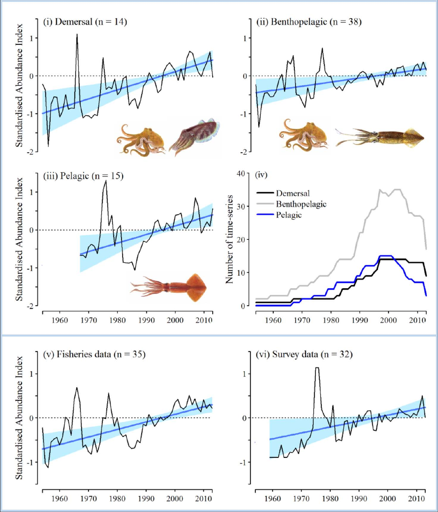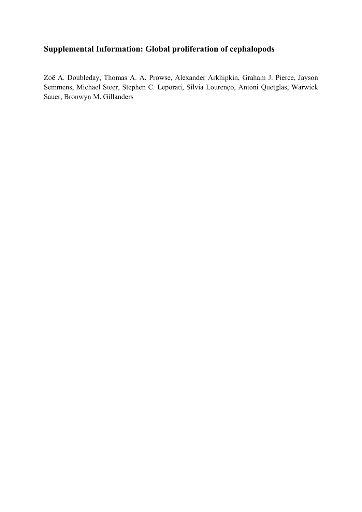# **Supplemental Information: Global proliferation of cephalopods**

Zoë A. Doubleday, Thomas A. A. Prowse, Alexander Arkhipkin, Graham J. Pierce, Jayson Semmens, Michael Steer, Stephen C. Leporati, Sílvia Lourenço, Antoni Quetglas, Warwick Sauer, Bronwyn M. Gillanders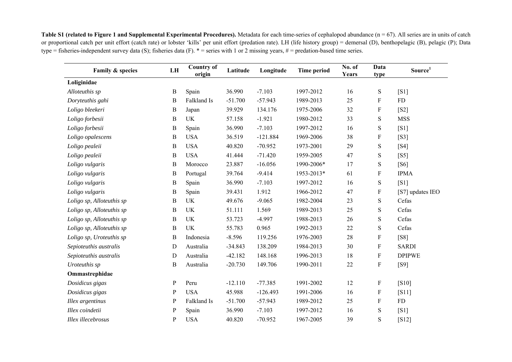Table S1 (related to Figure 1 and Supplemental Experimental Procedures). Metadata for each time-series of cephalopod abundance (n = 67). All series are in units of catch or proportional catch per unit effort (catch rate) or lobster 'kills' per unit effort (predation rate). LH (life history group) = demersal (D), benthopelagic (B), pelagic (P); Data type = fisheries-independent survey data (S); fisheries data (F).  $*$  = series with 1 or 2 missing years, # = predation-based time series.

| Family & species          | LH               | <b>Country of</b><br>origin | Latitude  | Longitude  | Time period | No. of<br>Years | Data<br>type | Source <sup>1</sup> |
|---------------------------|------------------|-----------------------------|-----------|------------|-------------|-----------------|--------------|---------------------|
| Loliginidae               |                  |                             |           |            |             |                 |              |                     |
| Alloteuthis sp            |                  | Spain                       | 36.990    | $-7.103$   | 1997-2012   | 16              | ${\bf S}$    | [ <sup>S1</sup> ]   |
| Doryteuthis gahi          | B                | Falkland Is                 | $-51.700$ | $-57.943$  | 1989-2013   | 25              | F            | <b>FD</b>           |
| Loligo bleekeri           | $\boldsymbol{B}$ | Japan                       | 39.929    | 134.176    | 1975-2006   | 32              | F            | [S2]                |
| Loligo forbesii           | B                | <b>UK</b>                   | 57.158    | $-1.921$   | 1980-2012   | 33              | ${\bf S}$    | <b>MSS</b>          |
| Loligo forbesii           | $\, {\bf B}$     | Spain                       | 36.990    | $-7.103$   | 1997-2012   | 16              | ${\bf S}$    | [S1]                |
| Loligo opalescens         | $\boldsymbol{B}$ | <b>USA</b>                  | 36.519    | $-121.884$ | 1969-2006   | 38              | ${\bf F}$    | [S3]                |
| Loligo pealeii            | B                | <b>USA</b>                  | 40.820    | $-70.952$  | 1973-2001   | 29              | ${\bf S}$    | [S4]                |
| Loligo pealeii            | B                | <b>USA</b>                  | 41.444    | $-71.420$  | 1959-2005   | 47              | ${\bf S}$    | [ <sup>S5</sup> ]   |
| Loligo vulgaris           | B                | Morocco                     | 23.887    | $-16.056$  | 1990-2006*  | 17              | ${\bf S}$    | [S6]                |
| Loligo vulgaris           | B                | Portugal                    | 39.764    | $-9.414$   | 1953-2013*  | 61              | F            | <b>IPMA</b>         |
| Loligo vulgaris           | B                | Spain                       | 36.990    | $-7.103$   | 1997-2012   | 16              | ${\bf S}$    | [S1]                |
| Loligo vulgaris           | B                | Spain                       | 39.431    | 1.912      | 1966-2012   | 47              | ${\bf F}$    | [S7] updates IEO    |
| Loligo sp, Alloteuthis sp | B                | <b>UK</b>                   | 49.676    | $-9.065$   | 1982-2004   | 23              | ${\bf S}$    | Cefas               |
| Loligo sp, Alloteuthis sp | B                | <b>UK</b>                   | 51.111    | 1.569      | 1989-2013   | 25              | ${\bf S}$    | Cefas               |
| Loligo sp, Alloteuthis sp | $\boldsymbol{B}$ | <b>UK</b>                   | 53.723    | $-4.997$   | 1988-2013   | 26              | ${\bf S}$    | Cefas               |
| Loligo sp, Alloteuthis sp | $\mathbf{B}$     | <b>UK</b>                   | 55.783    | 0.965      | 1992-2013   | 22              | ${\bf S}$    | Cefas               |
| Loligo sp, Uroteuthis sp  | B                | Indonesia                   | $-8.596$  | 119.256    | 1976-2003   | 28              | F            | [S8]                |
| Sepioteuthis australis    | D                | Australia                   | $-34.843$ | 138.209    | 1984-2013   | 30              | ${\bf F}$    | <b>SARDI</b>        |
| Sepioteuthis australis    | D                | Australia                   | $-42.182$ | 148.168    | 1996-2013   | 18              | F            | <b>DPIPWE</b>       |
| Uroteuthis sp             | $\mathbf B$      | Australia                   | $-20.730$ | 149.706    | 1990-2011   | 22              | ${\bf F}$    | [ <sup>S9</sup> ]   |
| Ommastrephidae            |                  |                             |           |            |             |                 |              |                     |
| Dosidicus gigas           | P                | Peru                        | $-12.110$ | $-77.385$  | 1991-2002   | 12              | F            | [S10]               |
| Dosidicus gigas           | ${\bf P}$        | <b>USA</b>                  | 45.988    | $-126.493$ | 1991-2006   | 16              | ${\bf F}$    | [ <sup>S11</sup> ]  |
| Illex argentinus          | P                | Falkland Is                 | $-51.700$ | $-57.943$  | 1989-2012   | 25              | F            | <b>FD</b>           |
| Illex coindetii           | $\mathbf{P}$     | Spain                       | 36.990    | $-7.103$   | 1997-2012   | 16              | ${\bf S}$    | [S1]                |
| Illex illecebrosus        | $\mathbf P$      | <b>USA</b>                  | 40.820    | $-70.952$  | 1967-2005   | 39              | S            | [S12]               |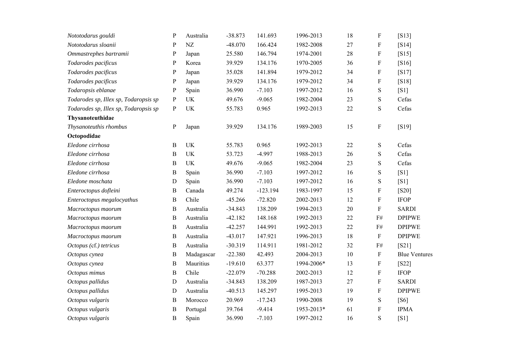| Nototodarus gouldi                    | P                | Australia  | $-38.873$ | 141.693    | 1996-2013  | 18 | $\boldsymbol{\mathrm{F}}$ | $[S13]$              |
|---------------------------------------|------------------|------------|-----------|------------|------------|----|---------------------------|----------------------|
| Nototodarus sloanii                   | $\mathbf{P}$     | NZ         | $-48.070$ | 166.424    | 1982-2008  | 27 | $\boldsymbol{\mathrm{F}}$ | [S14]                |
| Ommastrephes bartramii                | ${\bf P}$        | Japan      | 25.580    | 146.794    | 1974-2001  | 28 | F                         | [S15]                |
| Todarodes pacificus                   | P                | Korea      | 39.929    | 134.176    | 1970-2005  | 36 | F                         | [S16]                |
| Todarodes pacificus                   | ${\bf P}$        | Japan      | 35.028    | 141.894    | 1979-2012  | 34 | ${\bf F}$                 | [S17]                |
| Todarodes pacificus                   | P                | Japan      | 39.929    | 134.176    | 1979-2012  | 34 | F                         | [S18]                |
| Todaropsis eblanae                    | ${\bf P}$        | Spain      | 36.990    | $-7.103$   | 1997-2012  | 16 | ${\bf S}$                 | [S1]                 |
| Todarodes sp, Illex sp, Todaropsis sp | ${\bf P}$        | <b>UK</b>  | 49.676    | $-9.065$   | 1982-2004  | 23 | S                         | Cefas                |
| Todarodes sp, Illex sp, Todaropsis sp | ${\bf P}$        | <b>UK</b>  | 55.783    | 0.965      | 1992-2013  | 22 | ${\bf S}$                 | Cefas                |
| Thysanoteuthidae                      |                  |            |           |            |            |    |                           |                      |
| Thysanoteuthis rhombus                | P                | Japan      | 39.929    | 134.176    | 1989-2003  | 15 | F                         | [S19]                |
| Octopodidae                           |                  |            |           |            |            |    |                           |                      |
| Eledone cirrhosa                      | B                | <b>UK</b>  | 55.783    | 0.965      | 1992-2013  | 22 | ${\bf S}$                 | Cefas                |
| Eledone cirrhosa                      | $\mathbf B$      | <b>UK</b>  | 53.723    | $-4.997$   | 1988-2013  | 26 | ${\bf S}$                 | Cefas                |
| Eledone cirrhosa                      | $\mathbf B$      | <b>UK</b>  | 49.676    | $-9.065$   | 1982-2004  | 23 | ${\bf S}$                 | Cefas                |
| Eledone cirrhosa                      | $\boldsymbol{B}$ | Spain      | 36.990    | $-7.103$   | 1997-2012  | 16 | ${\bf S}$                 | [S1]                 |
| Eledone moschata                      | $\mathbf D$      | Spain      | 36.990    | $-7.103$   | 1997-2012  | 16 | ${\bf S}$                 | [S1]                 |
| Enteroctopus dofleini                 | $\mathbf B$      | Canada     | 49.274    | $-123.194$ | 1983-1997  | 15 | F                         | [S20]                |
| Enteroctopus megalocyathus            | $\, {\bf B}$     | Chile      | $-45.266$ | $-72.820$  | 2002-2013  | 12 | ${\bf F}$                 | <b>IFOP</b>          |
| Macroctopus maorum                    | $\mathbf B$      | Australia  | $-34.843$ | 138.209    | 1994-2013  | 20 | F                         | <b>SARDI</b>         |
| Macroctopus maorum                    | $\, {\bf B}$     | Australia  | $-42.182$ | 148.168    | 1992-2013  | 22 | ${\rm F}\#$               | <b>DPIPWE</b>        |
| Macroctopus maorum                    | $\boldsymbol{B}$ | Australia  | $-42.257$ | 144.991    | 1992-2013  | 22 | ${\rm F}\#$               | <b>DPIPWE</b>        |
| Macroctopus maorum                    | $\, {\bf B}$     | Australia  | $-43.017$ | 147.921    | 1996-2013  | 18 | ${\bf F}$                 | <b>DPIPWE</b>        |
| Octopus (cf.) tetricus                | $\mathbf B$      | Australia  | $-30.319$ | 114.911    | 1981-2012  | 32 | ${\rm F}\#$               | [S21]                |
| Octopus cynea                         | $\boldsymbol{B}$ | Madagascar | $-22.380$ | 42.493     | 2004-2013  | 10 | F                         | <b>Blue Ventures</b> |
| Octopus cynea                         | $\, {\bf B}$     | Mauritius  | $-19.610$ | 63.377     | 1994-2006* | 13 | ${\bf F}$                 | $[$ 22]              |
| Octopus mimus                         | $\, {\bf B}$     | Chile      | $-22.079$ | $-70.288$  | 2002-2013  | 12 | F                         | <b>IFOP</b>          |
| Octopus pallidus                      | $\mathbf D$      | Australia  | $-34.843$ | 138.209    | 1987-2013  | 27 | $\mathbf F$               | <b>SARDI</b>         |
| Octopus pallidus                      | ${\bf D}$        | Australia  | $-40.513$ | 145.297    | 1995-2013  | 19 | ${\bf F}$                 | <b>DPIPWE</b>        |
| Octopus vulgaris                      | $\, {\bf B}$     | Morocco    | 20.969    | $-17.243$  | 1990-2008  | 19 | ${\bf S}$                 | [S6]                 |
| Octopus vulgaris                      | $\mathbf B$      | Portugal   | 39.764    | $-9.414$   | 1953-2013* | 61 | F                         | <b>IPMA</b>          |
| Octopus vulgaris                      | B                | Spain      | 36.990    | $-7.103$   | 1997-2012  | 16 | S                         | [S1]                 |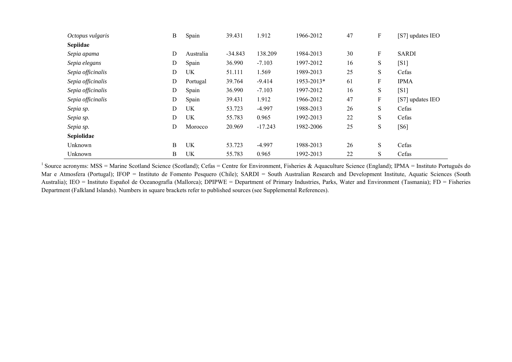| Octopus vulgaris  |   | Spain     | 39.431    | 1.912     | 1966-2012  | 47 | F         | [S7] updates IEO |
|-------------------|---|-----------|-----------|-----------|------------|----|-----------|------------------|
| Sepiidae          |   |           |           |           |            |    |           |                  |
| Sepia apama       | D | Australia | $-34.843$ | 138.209   | 1984-2013  | 30 | F         | <b>SARDI</b>     |
| Sepia elegans     | D | Spain     | 36.990    | $-7.103$  | 1997-2012  | 16 | S         | [S1]             |
| Sepia officinalis | D | UK        | 51.111    | 1.569     | 1989-2013  | 25 | S         | Cefas            |
| Sepia officinalis | D | Portugal  | 39.764    | $-9.414$  | 1953-2013* | 61 | F         | <b>IPMA</b>      |
| Sepia officinalis | D | Spain     | 36.990    | $-7.103$  | 1997-2012  | 16 | ${\bf S}$ | [S1]             |
| Sepia officinalis | D | Spain     | 39.431    | 1.912     | 1966-2012  | 47 | F         | [S7] updates IEO |
| Sepia sp.         | D | <b>UK</b> | 53.723    | $-4.997$  | 1988-2013  | 26 | S         | Cefas            |
| Sepia sp.         | D | UK        | 55.783    | 0.965     | 1992-2013  | 22 | S         | Cefas            |
| Sepia sp.         | D | Morocco   | 20.969    | $-17.243$ | 1982-2006  | 25 | ${\bf S}$ | [S6]             |
| Sepiolidae        |   |           |           |           |            |    |           |                  |
| Unknown           | B | <b>UK</b> | 53.723    | $-4.997$  | 1988-2013  | 26 | S         | Cefas            |
| Unknown           | B | UK        | 55.783    | 0.965     | 1992-2013  | 22 | S         | Cefas            |

<sup>1</sup> Source acronyms: MSS = Marine Scotland Science (Scotland); Cefas = Centre for Environment, Fisheries & Aquaculture Science (England); IPMA = Instituto Português do Mar e Atmosfera (Portugal); IFOP = Instituto de Fomento Pesquero (Chile); SARDI = South Australian Research and Development Institute, Aquatic Sciences (South Australia); IEO = Instituto Español de Oceanografía (Mallorca); DPIPWE = Department of Primary Industries, Parks, Water and Environment (Tasmania); FD = Fisheries Department (Falkland Islands). Numbers in square brackets refer to published sources (see Supplemental References).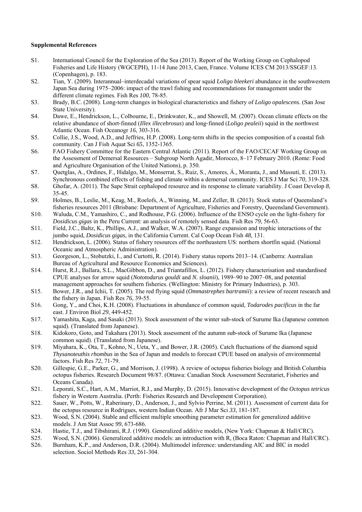#### **Supplemental References**

- S1. International Council for the Exploration of the Sea (2013). Report of the Working Group on Cephalopod Fisheries and Life History (WGCEPH), 11-14 June 2013, Caen, France. Volume ICES CM 2013/SSGEF:13. (Copenhagen), p. 183.
- S2. Tian, Y. (2009). Interannual–interdecadal variations of spear squid *Loligo bleekeri* abundance in the southwestern Japan Sea during 1975–2006: impact of the trawl fishing and recommendations for management under the different climate regimes. Fish Res *100*, 78-85.
- S3. Brady, B.C. (2008). Long-term changes in biological characteristics and fishery of *Loligo opalescens*. (San Jose State University).
- S4. Dawe, E., Hendrickson, L., Colbourne, E., Drinkwater, K., and Showell, M. (2007). Ocean climate effects on the relative abundance of short‐finned (*Illex illecebrosus*) and long‐finned (*Loligo pealeii*) squid in the northwest Atlantic Ocean. Fish Oceanogr *16*, 303-316.
- S5. Collie, J.S., Wood, A.D., and Jeffries, H.P. (2008). Long-term shifts in the species composition of a coastal fish community. Can J Fish Aquat Sci *65*, 1352-1365.
- S6. FAO Fishery Committee for the Eastern Central Atlantic (2011). Report of the FAO/CECAF Working Group on the Assessment of Demersal Resources – Subgroup North Agadir, Morocco, 8–17 February 2010. (Rome: Food and Agriculture Organisation of the United Nations), p. 350.
- S7. Quetglas, A., Ordines, F., Hidalgo, M., Monserrat, S., Ruiz, S., Amores, Á., Moranta, J., and Massutí, E. (2013). Synchronous combined effects of fishing and climate within a demersal community. ICES J Mar Sci *70*, 319-328.
- S8. Ghofar, A. (2011). The Sape Strait cephalopod resource and its response to climate variability. J Coast Develop *8*, 35-45.
- S9. Holmes, B., Leslie, M., Keag, M., Roelofs, A., Winning, M., and Zeller, B. (2013). Stock status of Queensland's fisheries resources 2011 (Brisbane: Department of Agriculture, Fisheries and Forestry, Queensland Government).
- S10. Waluda, C.M., Yamashiro, C., and Rodhouse, P.G. (2006). Influence of the ENSO cycle on the light-fishery for *Dosidicus gigas* in the Peru Current: an analysis of remotely sensed data. Fish Res *79*, 56-63.
- S11. Field, J.C., Baltz, K., Phillips, A.J., and Walker, W.A. (2007). Range expansion and trophic interactions of the jumbo squid, *Dosidicus gigas*, in the California Current. Cal Coop Ocean Fish *48*, 131.
- S12. Hendrickson, L. (2006). Status of fishery resources off the northeastern US: northern shortfin squid. (National Oceanic and Atmospheric Administration).
- S13. Georgeson, L., Stobutzki, I., and Curtotti, R. (2014). Fishery status reports 2013–14. (Canberra: Australian Bureau of Agricultural and Resource Economics and Sciences).
- S14. Hurst, R.J., Ballara, S.L., MacGibbon, D., and Triantafillos, L. (2012). Fishery characterisation and standardised CPUE analyses for arrow squid (*Nototodarus gouldi* and *N. sloanii*), 1989–90 to 2007–08, and potential management approaches for southern fisheries. (Wellington: Ministry for Primary Industries), p. 303.
- S15. Bower, J.R., and Ichii, T. (2005). The red flying squid (*Ommastrephes bartramii*): a review of recent research and the fishery in Japan. Fish Res *76*, 39-55.
- S16. Gong, Y., and Choi, K.H. (2008). Fluctuations in abundance of common squid, *Todarodes pacificus* in the far east. J Environ Biol *29*, 449-452.
- S17. Yamashita, Kaga, and Sasaki (2013). Stock assessment of the winter sub-stock of Surume Ika (Japanese common squid). (Translated from Japanese).
- S18. Kidokoro, Goto, and Takahara (2013). Stock assessment of the autumn sub-stock of Surume Ika (Japanese common squid). (Translated from Japanese).
- S19. Miyahara, K., Ota, T., Kohno, N., Ueta, Y., and Bower, J.R. (2005). Catch fluctuations of the diamond squid *Thysanoteuthis rhombus* in the Sea of Japan and models to forecast CPUE based on analysis of environmental factors. Fish Res *72*, 71-79.
- S20. Gillespie, G.E., Parker, G., and Morrison, J. (1998). A review of octopus fisheries biology and British Columbia octopus fisheries. Research Document 98/87. (Ottawa: Canadian Stock Assessment Secratariet, Fisheries and Oceans Canada).
- S21. Leporati, S.C., Hart, A.M., Marriot, R.J., and Murphy, D. (2015). Innovative development of the *Octopus tetricus* fishery in Western Australia. (Perth: Fisheries Research and Development Corporation).
- S22. Sauer, W., Potts, W., Raberinary, D., Anderson, J., and Sylvio Perrine, M. (2011). Assessment of current data for the octopus resource in Rodrigues, western Indian Ocean. Afr J Mar Sci *33*, 181-187.
- S23. Wood, S.N. (2004). Stable and efficient multiple smoothing parameter estimation for generalized additive models. J Am Stat Assoc *99*, 673-686.
- S24. Hastie, T.J., and Tibshirani, R.J. (1990). Generalized additive models, (New York: Chapman & Hall/CRC).
- S25. Wood, S.N. (2006). Generalized additive models: an introduction with R, (Boca Raton: Chapman and Hall/CRC).
- S26. Burnham, K.P., and Anderson, D.R. (2004). Multimodel inference: understanding AIC and BIC in model selection. Sociol Methods Res *33*, 261-304.